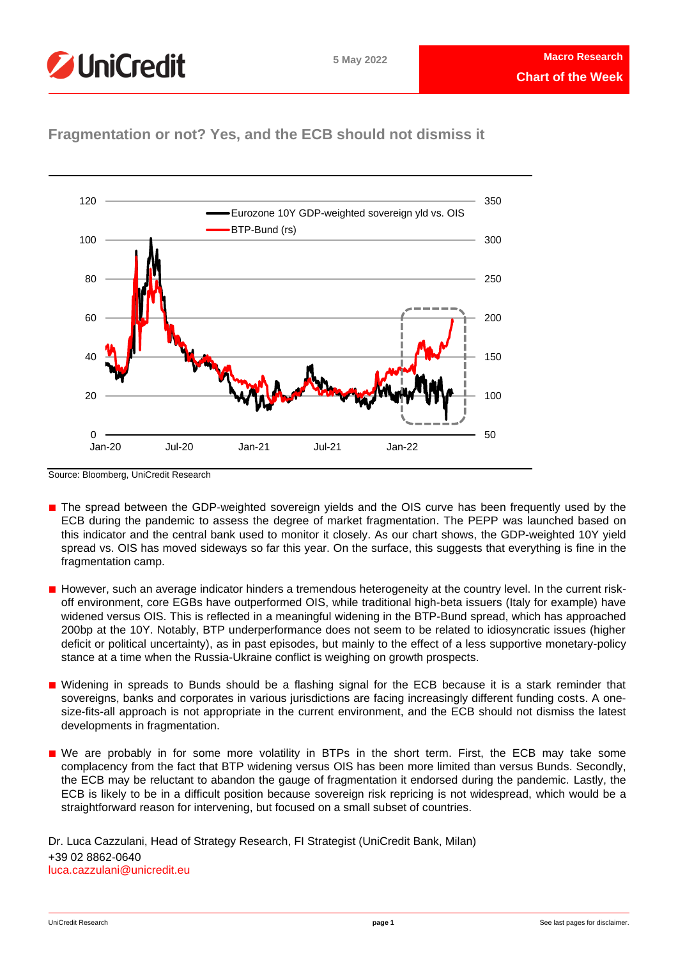



## **Fragmentation or not? Yes, and the ECB should not dismiss it**

Source: Bloomberg, UniCredit Research

- The spread between the GDP-weighted sovereign yields and the OIS curve has been frequently used by the ECB during the pandemic to assess the degree of market fragmentation. The PEPP was launched based on this indicator and the central bank used to monitor it closely. As our chart shows, the GDP-weighted 10Y yield spread vs. OIS has moved sideways so far this year. On the surface, this suggests that everything is fine in the fragmentation camp.
- However, such an average indicator hinders a tremendous heterogeneity at the country level. In the current riskoff environment, core EGBs have outperformed OIS, while traditional high-beta issuers (Italy for example) have widened versus OIS. This is reflected in a meaningful widening in the BTP-Bund spread, which has approached 200bp at the 10Y. Notably, BTP underperformance does not seem to be related to idiosyncratic issues (higher deficit or political uncertainty), as in past episodes, but mainly to the effect of a less supportive monetary-policy stance at a time when the Russia-Ukraine conflict is weighing on growth prospects.
- Widening in spreads to Bunds should be a flashing signal for the ECB because it is a stark reminder that sovereigns, banks and corporates in various jurisdictions are facing increasingly different funding costs. A onesize-fits-all approach is not appropriate in the current environment, and the ECB should not dismiss the latest developments in fragmentation.
- We are probably in for some more volatility in BTPs in the short term. First, the ECB may take some complacency from the fact that BTP widening versus OIS has been more limited than versus Bunds. Secondly, the ECB may be reluctant to abandon the gauge of fragmentation it endorsed during the pandemic. Lastly, the ECB is likely to be in a difficult position because sovereign risk repricing is not widespread, which would be a straightforward reason for intervening, but focused on a small subset of countries.

Dr. Luca Cazzulani, Head of Strategy Research, FI Strategist (UniCredit Bank, Milan) +39 02 8862-0640 luca.cazzulani@unicredit.eu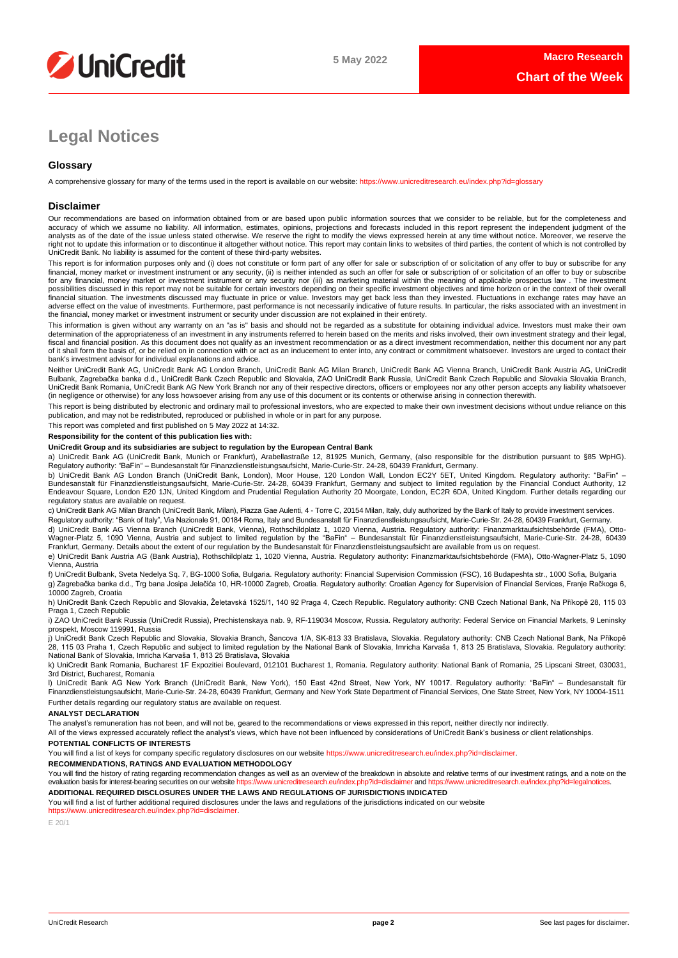

# **Legal Notices**

## **Glossary**

A comprehensive glossary for many of the terms used in the report is available on our website[: https://www.unicreditresearch.eu/index.php?id=glossary](https://www.unicreditresearch.eu/index.php?id=glossary)

## **Disclaimer**

Our recommendations are based on information obtained from or are based upon public information sources that we consider to be reliable, but for the completeness and accuracy of which we assume no liability. All information, estimates, opinions, projections and forecasts included in this report represent the independent judgment of the<br>analysts as of the date of the issue unless stated right not to update this information or to discontinue it altogether without notice. This report may contain links to websites of third parties, the content of which is not controlled by<br>UniCredit Bank. No liability is ass

This report is for information purposes only and (i) does not constitute or form part of any offer for sale or subscription of or solicitation of any offer to buy or subscribe for any<br>financial, money market or investment for any financial, money market or investment instrument or any security nor (iii) as marketing material within the meaning of applicable prospectus law . The investment possibilities discussed in this report may not be suitable for certain investors depending on their specific investment objectives and time horizon or in the context of their overall<br>financial situation. The investments di adverse effect on the value of investments. Furthermore, past performance is not necessarily indicative of future results. In particular, the risks associated with an investment in the financial, money market or investment instrument or security under discussion are not explained in their entirety.

This information is given without any warranty on an "as is" basis and should not be regarded as a substitute for obtaining individual advice. Investors must make their own determination of the appropriateness of an investment in any instruments referred to herein based on the merits and risks involved, their own investment strategy and their legal,<br>fiscal and financial position. As this docu of it shall form the basis of, or be relied on in connection with or act as an inducement to enter into, any contract or commitment whatsoever. Investors are urged to contact their bank's investment advisor for individual explanations and advice.

Neither UniCredit Bank AG, UniCredit Bank AG London Branch, UniCredit Bank AG Milan Branch, UniCredit Bank AG Vienna Branch, UniCredit Bank Austria AG, UniCredit Bulbank, Zagrebačka banka d.d., UniCredit Bank Czech Republic and Slovakia, ZAO UniCredit Bank Russia, UniCredit Bank Czech Republic and Slovakia Slovakia Branch,<br>UniCredit Bank Romania, UniCredit Bank AG New York Branch n (in negligence or otherwise) for any loss howsoever arising from any use of this document or its contents or otherwise arising in connection therewith.

This report is being distributed by electronic and ordinary mail to professional investors, who are expected to make their own investment decisions without undue reliance on this publication, and may not be redistributed, reproduced or published in whole or in part for any purpose.

This report was completed and first published on 5 May 2022 at 14:32.

## **Responsibility for the content of this publication lies with:**

## **UniCredit Group and its subsidiaries are subject to regulation by the European Central Bank**

a) UniCredit Bank AG (UniCredit Bank, Munich or Frankfurt), Arabellastraße 12, 81925 Munich, Germany, (also responsible for the distribution pursuant to §85 WpHG). Regulatory authority: "BaFin" – Bundesanstalt für Finanzdienstleistungsaufsicht, Marie-Curie-Str. 24-28, 60439 Frankfurt, Germany.

b) UniCredit Bank AG London Branch (UniCredit Bank, London), Moor House, 120 London Wall, London EC2Y 5ET, United Kingdom. Regulatory authority: "BaFin" –<br>Bundesanstalt für Finanzdienstleistungsaufsicht, Marie-Curie-Str. 2 regulatory status are available on request.

c) UniCredit Bank AG Milan Branch (UniCredit Bank, Milan), Piazza Gae Aulenti, 4 - Torre C, 20154 Milan, Italy, duly authorized by the Bank of Italy to provide investment services. Regulatory authority: "Bank of Italy", Via Nazionale 91, 00184 Roma, Italy and Bundesanstalt für Finanzdienstleistungsaufsicht, Marie-Curie-Str. 24-28, 60439 Frankfurt, Germany.

d) UniCredit Bank AG Vienna Branch (UniCredit Bank, Vienna), Rothschildplatz 1, 1020 Vienna, Austria. Regulatory authority: Finanzmarktaufsichtsbehörde (FMA), Otto-Wagner-Platz 5, 1090 Vienna, Austria and subject to limited regulation by the "BaFin" – Bundesanstalt für Finanzdienstleistungsaufsicht, Marie-Curie-Str. 24-28, 60439<br>Frankfurt, Germany. Details about the extent of our reg

e) UniCredit Bank Austria AG (Bank Austria), Rothschildplatz 1, 1020 Vienna, Austria. Regulatory authority: Finanzmarktaufsichtsbehörde (FMA), Otto-Wagner-Platz 5, 1090 Vienna, Austria

f) UniCredit Bulbank, Sveta Nedelya Sq. 7, BG-1000 Sofia, Bulgaria. Regulatory authority: Financial Supervision Commission (FSC), 16 Budapeshta str., 1000 Sofia, Bulgaria g) Zagrebačka banka d.d., Trg bana Josipa Jelačića 10, HR-10000 Zagreb, Croatia. Regulatory authority: Croatian Agency for Supervision of Financial Services, Franje Račkoga 6, 10000 Zagreb, Croatia

h) UniCredit Bank Czech Republic and Slovakia, Želetavská 1525/1, 140 92 Praga 4, Czech Republic. Regulatory authority: CNB Czech National Bank, Na Příkopě 28, 115 03 Praga 1, Czech Republic

i) ZAO UniCredit Bank Russia (UniCredit Russia), Prechistenskaya nab. 9, RF-119034 Moscow, Russia. Regulatory authority: Federal Service on Financial Markets, 9 Leninsky prospekt, Moscow 119991, Russia

j) UniCredit Bank Czech Republic and Slovakia, Slovakia Branch, Šancova 1/A, SK-813 33 Bratislava, Slovakia. Regulatory authority: CNB Czech National Bank, Na Příkopě 28, 115 03 Praha 1, Czech Republic and subject to limited regulation by the National Bank of Slovakia, Imricha Karvaša 1, 813 25 Bratislava, Slovakia. Regulatory authority: National Bank of Slovakia, Imricha Karvaša 1, 813 25 Bratislava, Slovakia

k) UniCredit Bank Romania, Bucharest 1F Expozitiei Boulevard, 012101 Bucharest 1, Romania. Regulatory authority: National Bank of Romania, 25 Lipscani Street, 030031, 3rd District, Bucharest, Romania

l) UniCredit Bank AG New York Branch (UniCredit Bank, New York), 150 East 42nd Street, New York, NY 10017. Regulatory authority: "BaFin" – Bundesanstalt für Finanzdienstleistungsaufsicht, Marie-Curie-Str. 24-28, 60439 Frankfurt, Germany and New York State Department of Financial Services, One State Street, New York, NY 10004-1511 Further details regarding our regulatory status are available on request.

### **ANALYST DECLARATION**

The analyst's remuneration has not been, and will not be, geared to the recommendations or views expressed in this report, neither directly nor indirectly.

All of the views expressed accurately reflect the analyst's views, which have not been influenced by considerations of UniCredit Bank's business or client relationships.

### **POTENTIAL CONFLICTS OF INTERESTS**

You will find a list of keys for company specific regulatory disclosures on our websit[e https://www.unicreditresearch.eu/index.php?id=disclaimer.](https://www.unicreditresearch.eu/index.php?id=disclaimer)

**RECOMMENDATIONS, RATINGS AND EVALUATION METHODOLOGY** 

You will find the history of rating regarding recommendation changes as well as an overview of the breakdown in absolute and relative terms of our investment ratings, and a note on the evaluation basis for interest-bearing evaluation basis for interest-bearing securities on our website https://www.unicreditresearch.eu

**ADDITIONAL REQUIRED DISCLOSURES UNDER THE LAWS AND REGULATIONS OF JURISDICTIONS INDICATED**

You will find a list of further additional required disclosures under the laws and regulations of the jurisdictions indicated on our website [https://www.unicreditresearch.eu/index.php?id=disclaimer.](https://www.unicreditresearch.eu/index.php?id=disclaimer) 

E 20/1